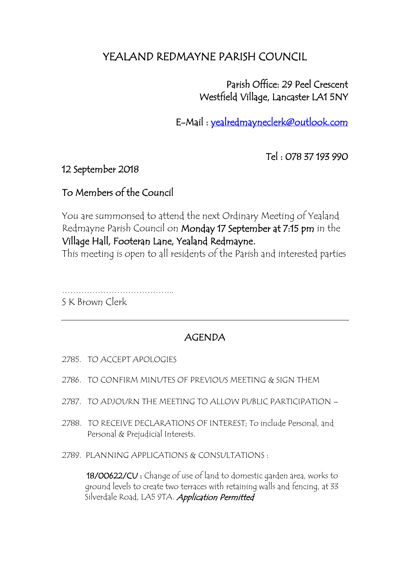## YEALAND REDMAYNE PARISH COUNCIL

 Parish Office: 29 Peel Crescent Westfield Village, Lancaster LA1 5NY

E-Mail : [yealredmayneclerk@outlook.com](mailto:yealredmayneclerk@outlook.com) 

Tel : 078 37 193 990

12 September 2018

## To Members of the Council

You are summonsed to attend the next Ordinary Meeting of Yealand Redmayne Parish Council on Monday 17 September at 7:15 pm in the Village Hall, Footeran Lane, Yealand Redmayne.

This meeting is open to all residents of the Parish and interested parties

…………………………………..

S K Brown Clerk

## AGENDA

- 2785. TO ACCEPT APOLOGIES
- 2786. TO CONFIRM MINUTES OF PREVIOUS MEETING & SIGN THEM
- 2787. TO ADJOURN THE MEETING TO ALLOW PUBLIC PARTICIPATION –
- 2788. TO RECEIVE DECLARATIONS OF INTEREST; To include Personal, and Personal & Prejudicial Interests.
- 2789. PLANNING APPLICATIONS & CONSULTATIONS :

 18/00622/CU : Change of use of land to domestic garden area, works to ground levels to create two terraces with retaining walls and fencing, at 33 Silverdale Road, LA5 9TA. Application Permitted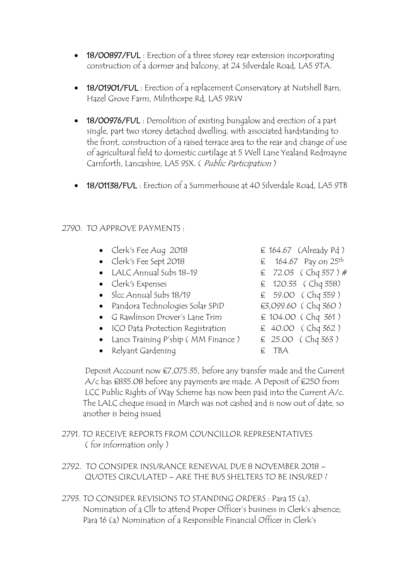- 18/00897/FUL : Erection of a three storey rear extension incorporating construction of a dormer and balcony, at 24 Silverdale Road, LA5 9TA.
- **18/01901/FUL**: Erection of a replacement Conservatory at Nutshell Barn, Hazel Grove Farm, Milnthorpe Rd, LA5 9RW
- 18/00976/FUL : Demolition of existing bungalow and erection of a part single, part two storey detached dwelling, with associated hardstanding to the front, construction of a raised terrace area to the rear and change of use of agricultural field to domestic curtilage at 5 Well Lane Yealand Redmayne Carnforth, Lancashire, LA5 9SX. ( Public Participation )
- 18/01138/FUL : Erection of a Summerhouse at 40 Silverdale Road, LA5 9TB

## 2790. TO APPROVE PAYMENTS :

- Clerk's Fee Aug 2018  $\epsilon$  164.67 (Already Pd)
- Clerk's Fee Sept 2018  $\epsilon$  164.67 Pay on 25<sup>th</sup>
- LALC Annual Subs 18-19  $\leq$  72.03 (Chq 357) #
- 
- Slcc Annual Subs 18/19  $\epsilon$  59.00 (Chq 359)
- Pandora Technologies Solar SPiD **£3,099.60** ( Chq 360 )
- G Rawlinson Drover's Lane Trim  $\epsilon$  104.00 (Chq 361)
- ICO Data Protection Registration  $\epsilon$  40.00 (Chq 362)
- Lancs Training P'ship (MM Finance )  $\quad \in 25.00$  (Chq 363)
- Relyant Gardening E TBA
- Clerk's Expenses  $\epsilon$  120.33 (Chq 358)
	-
	-

 Deposit Account now £7,075.35, before any transfer made and the Current A/c has £835.08 before any payments are made. A Deposit of £250 from LCC Public Rights of Way Scheme has now been paid into the Current A/c. The LALC cheque issued in March was not cashed and is now out of date, so another is being issued

- 2791. TO RECEIVE REPORTS FROM COUNCILLOR REPRESENTATIVES ( for information only )
- 2792. TO CONSIDER INSURANCE RENEWAL DUE 8 NOVEMBER 2018 QUOTES CIRCULATED – ARE THE BUS SHELTERS TO BE INSURED ?
- 2793. TO CONSIDER REVISIONS TO STANDING ORDERS : Para 15 (a), Nomination of a Cllr to attend Proper Officer's business in Clerk's absence; Para 16 (a) Nomination of a Responsible Financial Officer in Clerk's